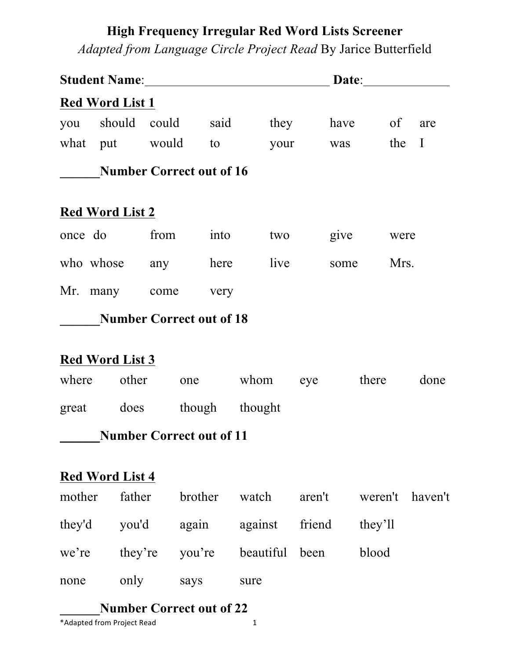# **High Frequency Irregular Red Word Lists Screener**

*Adapted from Language Circle Project Read* By Jarice Butterfield

| <b>Student Name:</b> Student Name: |                           |                                 | Date:   |           |        |           |         |              |
|------------------------------------|---------------------------|---------------------------------|---------|-----------|--------|-----------|---------|--------------|
|                                    | <b>Red Word List 1</b>    |                                 |         |           |        |           |         |              |
|                                    | you should                | could                           |         | said      | they   | have      | of      | are          |
|                                    | what put would            |                                 | to      |           |        | your was  | the     | $\mathbf{I}$ |
|                                    |                           | <b>Number Correct out of 16</b> |         |           |        |           |         |              |
|                                    | <b>Red Word List 2</b>    |                                 |         |           |        |           |         |              |
| once do                            |                           | from into                       |         | two       |        | give      | were    |              |
|                                    | who whose                 | any                             | here    | live      |        | some      | Mrs.    |              |
|                                    | Mr. many come             |                                 | very    |           |        |           |         |              |
|                                    |                           | <b>Number Correct out of 18</b> |         |           |        |           |         |              |
|                                    | <b>Red Word List 3</b>    |                                 |         |           |        |           |         |              |
| where                              | other                     |                                 | one     | whom      |        | eye there |         | done         |
|                                    | great does though thought |                                 |         |           |        |           |         |              |
|                                    |                           | <b>Number Correct out of 11</b> |         |           |        |           |         |              |
|                                    | <b>Red Word List 4</b>    |                                 |         |           |        |           |         |              |
| mother                             | father                    |                                 | brother | watch     | aren't |           | weren't | haven't      |
| they'd                             | you'd                     | again                           |         | against   | friend | they'll   |         |              |
| we're                              | they're                   |                                 | you're  | beautiful | been   | blood     |         |              |
| none                               | only                      | says                            |         | sure      |        |           |         |              |

# **\_\_\_\_\_\_Number Correct out of 22**

\*Adapted from Project Read 1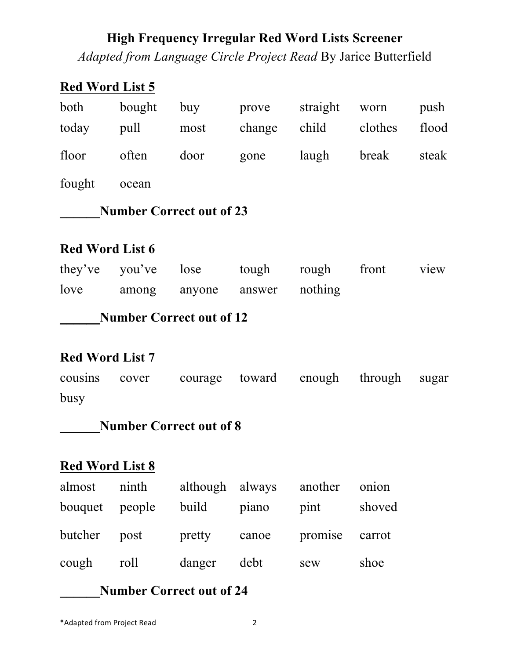# **High Frequency Irregular Red Word Lists Screener**

*Adapted from Language Circle Project Read* By Jarice Butterfield

# **Red Word List 5**

| both                            | bought | buy  | prove  | straight | worn    | push  |  |
|---------------------------------|--------|------|--------|----------|---------|-------|--|
| today                           | pull   | most | change | child    | clothes | flood |  |
| floor                           | often  | door | gone   | laugh    | break   | steak |  |
| fought                          | ocean  |      |        |          |         |       |  |
| <b>Number Correct out of 23</b> |        |      |        |          |         |       |  |

# **Red Word List 6**

| <b>Number Correct out of 12</b> |                     |                             |  |                   |  |      |  |  |
|---------------------------------|---------------------|-----------------------------|--|-------------------|--|------|--|--|
| love                            |                     | among anyone answer nothing |  |                   |  |      |  |  |
|                                 | they've you've lose |                             |  | tough rough front |  | view |  |  |

# **Red Word List 7**

cousins cover courage toward enough through sugar busy

# **\_\_\_\_\_\_Number Correct out of 8**

# **Red Word List 8**

| almost         | ninth | although always |       | another        | onion  |
|----------------|-------|-----------------|-------|----------------|--------|
| bouquet people |       | build           | piano | pint           | shoved |
| butcher post   |       | pretty          | canoe | promise carrot |        |
| cough          | roll  | danger          | debt  | sew            | shoe   |

# **\_\_\_\_\_\_Number Correct out of 24**

\*Adapted from Project Read 2